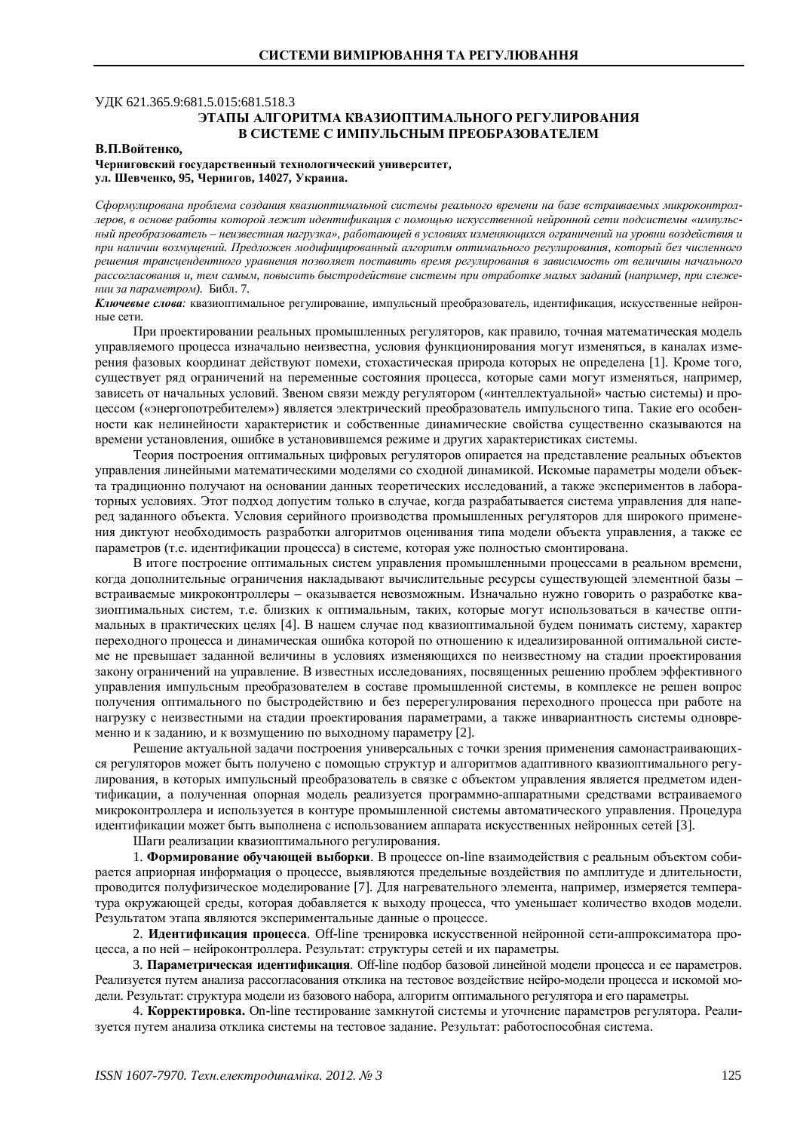### УЛК 621.365.9:681.5.015:681.518.3 ЭТАПЫ АЛГОРИТМА КВАЗИОПТИМАЛЬНОГО РЕГУЛИРОВАНИЯ В СИСТЕМЕ С ИМПУЛЬСНЫМ ПРЕОБРАЗОВАТЕЛЕМ

#### **ȼɉȼɨɣɬɟɧɤɨ,**

# Черниговский государственный технологический университет, ул. Шевченко, 95, Чернигов, 14027, Украина.

Сформулирована проблема создания квазиоптимальной системы реального времени на базе встраиваемых микроконтроллеров, в основе работы которой лежит идентификация с помощью искусственной нейронной сети подсистемы «импульсный преобразователь – неизвестная нагрузка», работаюшей в условиях изменяюшихся ограничений на уровни воздействия и при наличии возмущений. Предложен модифицированный алгоритм оптимального регулирования, который без численного тиешения трансцендентного уравнения позволяет поставить время регулирования в зависимость от величины начального рассогласования и, тем самым, повысить быстродействие системы при отработке малых заданий (например, при слеже*нии за параметром*). Библ. 7.

Ключевые слова: квазиоптимальное регулирование, импульсный преобразователь, идентификация, искусственные нейронные сети.

При проектировании реальных промышленных регуляторов, как правило, точная математическая модель управляемого процесса изначально неизвестна, условия функционирования могут изменяться, в каналах измерения фазовых координат действуют помехи, стохастическая природа которых не определена [1]. Кроме того, существует ряд ограничений на переменные состояния процесса, которые сами могут изменяться, например, зависеть от начальных условий. Звеном связи между регулятором («интеллектуальной» частью системы) и процессом («энергопотребителем») является электрический преобразователь импульсного типа. Такие его особенности как нелинейности характеристик и собственные динамические свойства существенно сказываются на времени установления, ошибке в установившемся режиме и других характеристиках системы.

Теория построения оптимальных цифровых регуляторов опирается на представление реальных объектов управления линейными математическими моделями со сходной динамикой. Искомые параметры модели объекта традиционно получают на основании данных теоретических исследований, а также экспериментов в лабораторных условиях. Этот полхол лопустим только в случае, когла разрабатывается система управления для наперед заданного объекта. Условия серийного производства промышленных регуляторов для широкого применения диктуют необходимость разработки алгоритмов оценивания типа модели объекта управления, а также ее параметров (т.е. идентификации процесса) в системе, которая уже полностью смонтирована.

В итоге построение оптимальных систем управления промышленными процессами в реальном времени, когда дополнительные ограничения накладывают вычислительные ресурсы существующей элементной базы встраиваемые микроконтроллеры – оказывается невозможным. Изначально нужно говорить о разработке квазиоптимальных систем, т.е. близких к оптимальным, таких, которые могут использоваться в качестве оптимальных в практических целях [4]. В нашем случае под квазиоптимальной будем понимать систему, характер переходного процесса и динамическая ошибка которой по отношению к идеализированной оптимальной системе не превышает заданной величины в условиях изменяющихся по неизвестному на стадии проектирования закону ограничений на управление. В известных исследованиях, посвященных решению проблем эффективного VПРАВЛЕНИЯ ИМПУЛЬСНЫМ ПРЕОбразователем в составе промышленной системы, в комплексе не решен вопрос получения оптимального по быстродействию и без перерегулирования переходного процесса при работе на нагрузку с неизвестными на стадии проектирования параметрами, а также инвариантность системы одновременно и к заданию, и к возмущению по выходному параметру [2].

Решение актуальной задачи построения универсальных с точки зрения применения самонастраивающихся регуляторов может быть получено с помощью структур и алгоритмов адаптивного квазиоптимального регулирования, в которых импульсный преобразователь в связке с объектом управления является предметом идентификации, а полученная опорная модель реализуется программно-аппаратными средствами встраиваемого микроконтроллера и используется в контуре промышленной системы автоматического управления. Процедура идентификации может быть выполнена с использованием аппарата искусственных нейронных сетей [3].

Шаги реализации квазиоптимального регулирования.

1. Формирование обучающей выборки. В процессе on-line взаимодействия с реальным объектом собирается априорная информация о процессе, выявляются предельные воздействия по амплитуде и длительности, проводится полуфизическое моделирование [7]. Для нагревательного элемента, например, измеряется температура окружающей среды, которая добавляется к выходу процесса, что уменьшает количество входов модели. Результатом этапа являются экспериментальные данные о процессе.

2. Идентификация процесса. Off-line тренировка искусственной нейронной сети-аппроксиматора процесса, а по ней – нейроконтроллера. Результат: структуры сетей и их параметры.

3. **Параметрическая идентификация**. Off-line подбор базовой линейной модели процесса и ее параметров. Реализуется путем анализа рассогласования отклика на тестовое возлействие нейро-молели процесса и искомой модели. Результат: структура модели из базового набора, алгоритм оптимального регулятора и его параметры.

4. **Корректировка.** On-line тестирование замкнутой системы и уточнение параметров регулятора. Реализуется путем анализа отклика системы на тестовое задание. Результат: работоспособная система.